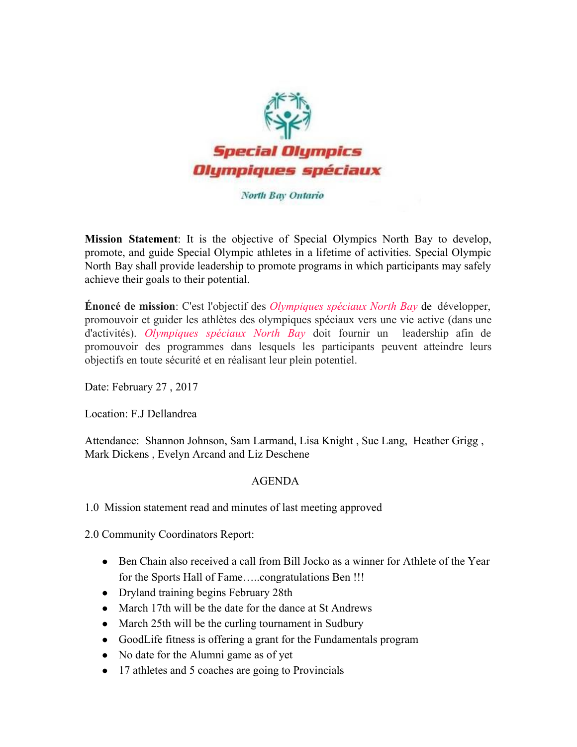

## North Bay Ontario

**Mission Statement**: It is the objective of Special Olympics North Bay to develop, promote, and guide Special Olympic athletes in a lifetime of activities. Special Olympic North Bay shall provide leadership to promote programs in which participants may safely achieve their goals to their potential.

**Énoncé de mission**: C'est l'objectif des *Olympiques spéciaux North Bay* de développer, promouvoir et guider les athlètes des olympiques spéciaux vers une vie active (dans une d'activités). *Olympiques spéciaux North Bay* doit fournir un leadership afin de promouvoir des programmes dans lesquels les participants peuvent atteindre leurs objectifs en toute sécurité et en réalisant leur plein potentiel.

Date: February 27 , 2017

Location: F.J Dellandrea

Attendance: Shannon Johnson, Sam Larmand, Lisa Knight , Sue Lang, Heather Grigg , Mark Dickens , Evelyn Arcand and Liz Deschene

## AGENDA

1.0 Mission statement read and minutes of last meeting approved

2.0 Community Coordinators Report:

- Ben Chain also received a call from Bill Jocko as a winner for Athlete of the Year for the Sports Hall of Fame…..congratulations Ben !!!
- Dryland training begins February 28th
- March 17th will be the date for the dance at St Andrews
- March 25th will be the curling tournament in Sudbury
- GoodLife fitness is offering a grant for the Fundamentals program
- No date for the Alumni game as of yet
- 17 athletes and 5 coaches are going to Provincials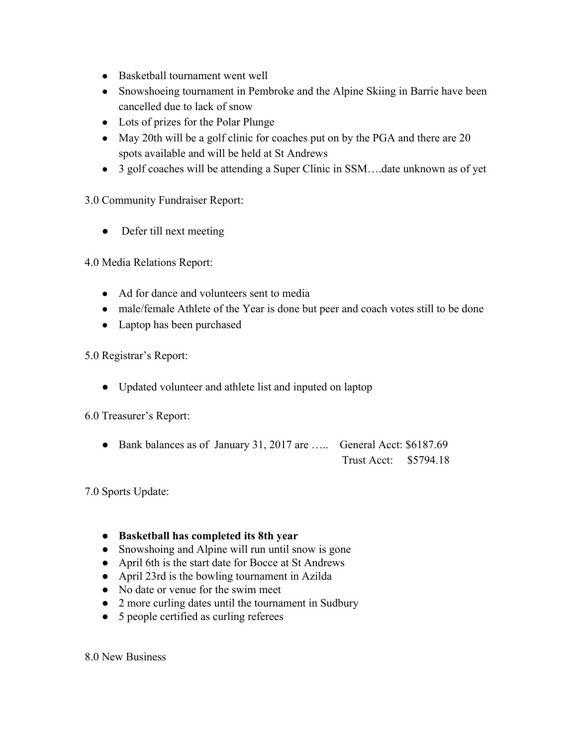- Basketball tournament went well
- Snowshoeing tournament in Pembroke and the Alpine Skiing in Barrie have been cancelled due to lack of snow
- Lots of prizes for the Polar Plunge
- May 20th will be a golf clinic for coaches put on by the PGA and there are 20 spots available and will be held at St Andrews
- 3 golf coaches will be attending a Super Clinic in SSM....date unknown as of yet

3.0 Community Fundraiser Report:

• Defer till next meeting

4.0 Media Relations Report:

- Ad for dance and volunteers sent to media
- male/female Athlete of the Year is done but peer and coach votes still to be done
- Laptop has been purchased

5.0 Registrar's Report:

● Updated volunteer and athlete list and inputed on laptop

6.0 Treasurer's Report:

● Bank balances as of January 31, 2017 are ….. General Acct: \$6187.69 Trust Acct: \$5794.18

7.0 Sports Update:

## ● **Basketball has completed its 8th year**

- Snowshoing and Alpine will run until snow is gone
- April 6th is the start date for Bocce at St Andrews
- April 23rd is the bowling tournament in Azilda
- No date or venue for the swim meet
- 2 more curling dates until the tournament in Sudbury
- 5 people certified as curling referees

8.0 New Business